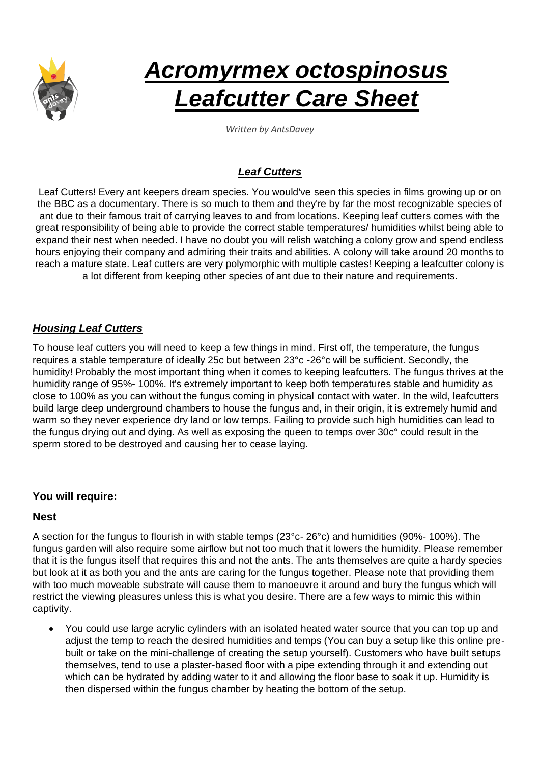

# *Acromyrmex octospinosus Leafcutter Care Sheet*

*Written by AntsDavey*

## *Leaf Cutters*

Leaf Cutters! Every ant keepers dream species. You would've seen this species in films growing up or on the BBC as a documentary. There is so much to them and they're by far the most recognizable species of ant due to their famous trait of carrying leaves to and from locations. Keeping leaf cutters comes with the great responsibility of being able to provide the correct stable temperatures/ humidities whilst being able to expand their nest when needed. I have no doubt you will relish watching a colony grow and spend endless hours enjoying their company and admiring their traits and abilities. A colony will take around 20 months to reach a mature state. Leaf cutters are very polymorphic with multiple castes! Keeping a leafcutter colony is a lot different from keeping other species of ant due to their nature and requirements.

## *Housing Leaf Cutters*

To house leaf cutters you will need to keep a few things in mind. First off, the temperature, the fungus requires a stable temperature of ideally 25c but between 23°c -26°c will be sufficient. Secondly, the humidity! Probably the most important thing when it comes to keeping leafcutters. The fungus thrives at the humidity range of 95%- 100%. It's extremely important to keep both temperatures stable and humidity as close to 100% as you can without the fungus coming in physical contact with water. In the wild, leafcutters build large deep underground chambers to house the fungus and, in their origin, it is extremely humid and warm so they never experience dry land or low temps. Failing to provide such high humidities can lead to the fungus drying out and dying. As well as exposing the queen to temps over 30c° could result in the sperm stored to be destroyed and causing her to cease laying.

#### **You will require:**

#### **Nest**

A section for the fungus to flourish in with stable temps (23°c- 26°c) and humidities (90%- 100%). The fungus garden will also require some airflow but not too much that it lowers the humidity. Please remember that it is the fungus itself that requires this and not the ants. The ants themselves are quite a hardy species but look at it as both you and the ants are caring for the fungus together. Please note that providing them with too much moveable substrate will cause them to manoeuvre it around and bury the fungus which will restrict the viewing pleasures unless this is what you desire. There are a few ways to mimic this within captivity.

• You could use large acrylic cylinders with an isolated heated water source that you can top up and adjust the temp to reach the desired humidities and temps (You can buy a setup like this online prebuilt or take on the mini-challenge of creating the setup yourself). Customers who have built setups themselves, tend to use a plaster-based floor with a pipe extending through it and extending out which can be hydrated by adding water to it and allowing the floor base to soak it up. Humidity is then dispersed within the fungus chamber by heating the bottom of the setup.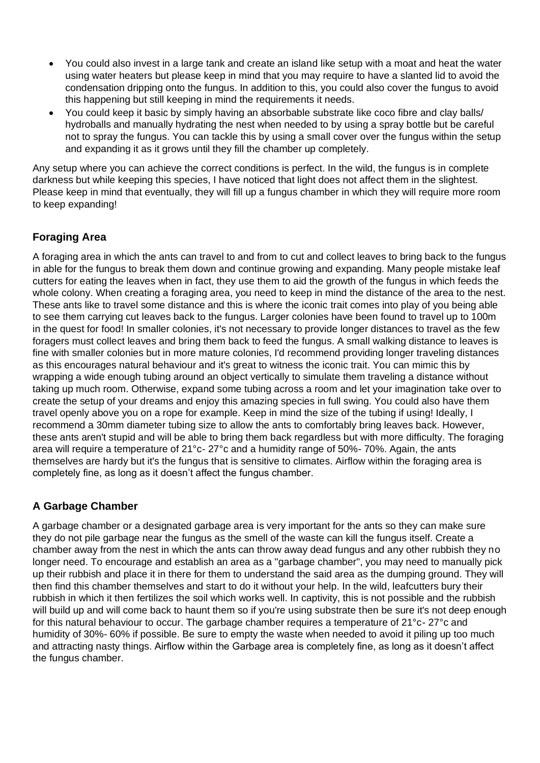- You could also invest in a large tank and create an island like setup with a moat and heat the water using water heaters but please keep in mind that you may require to have a slanted lid to avoid the condensation dripping onto the fungus. In addition to this, you could also cover the fungus to avoid this happening but still keeping in mind the requirements it needs.
- You could keep it basic by simply having an absorbable substrate like coco fibre and clay balls/ hydroballs and manually hydrating the nest when needed to by using a spray bottle but be careful not to spray the fungus. You can tackle this by using a small cover over the fungus within the setup and expanding it as it grows until they fill the chamber up completely.

Any setup where you can achieve the correct conditions is perfect. In the wild, the fungus is in complete darkness but while keeping this species, I have noticed that light does not affect them in the slightest. Please keep in mind that eventually, they will fill up a fungus chamber in which they will require more room to keep expanding!

# **Foraging Area**

A foraging area in which the ants can travel to and from to cut and collect leaves to bring back to the fungus in able for the fungus to break them down and continue growing and expanding. Many people mistake leaf cutters for eating the leaves when in fact, they use them to aid the growth of the fungus in which feeds the whole colony. When creating a foraging area, you need to keep in mind the distance of the area to the nest. These ants like to travel some distance and this is where the iconic trait comes into play of you being able to see them carrying cut leaves back to the fungus. Larger colonies have been found to travel up to 100m in the quest for food! In smaller colonies, it's not necessary to provide longer distances to travel as the few foragers must collect leaves and bring them back to feed the fungus. A small walking distance to leaves is fine with smaller colonies but in more mature colonies, I'd recommend providing longer traveling distances as this encourages natural behaviour and it's great to witness the iconic trait. You can mimic this by wrapping a wide enough tubing around an object vertically to simulate them traveling a distance without taking up much room. Otherwise, expand some tubing across a room and let your imagination take over to create the setup of your dreams and enjoy this amazing species in full swing. You could also have them travel openly above you on a rope for example. Keep in mind the size of the tubing if using! Ideally, I recommend a 30mm diameter tubing size to allow the ants to comfortably bring leaves back. However, these ants aren't stupid and will be able to bring them back regardless but with more difficulty. The foraging area will require a temperature of 21°c- 27°c and a humidity range of 50%- 70%. Again, the ants themselves are hardy but it's the fungus that is sensitive to climates. Airflow within the foraging area is completely fine, as long as it doesn't affect the fungus chamber.

# **A Garbage Chamber**

A garbage chamber or a designated garbage area is very important for the ants so they can make sure they do not pile garbage near the fungus as the smell of the waste can kill the fungus itself. Create a chamber away from the nest in which the ants can throw away dead fungus and any other rubbish they no longer need. To encourage and establish an area as a "garbage chamber", you may need to manually pick up their rubbish and place it in there for them to understand the said area as the dumping ground. They will then find this chamber themselves and start to do it without your help. In the wild, leafcutters bury their rubbish in which it then fertilizes the soil which works well. In captivity, this is not possible and the rubbish will build up and will come back to haunt them so if you're using substrate then be sure it's not deep enough for this natural behaviour to occur. The garbage chamber requires a temperature of 21°c- 27°c and humidity of 30%- 60% if possible. Be sure to empty the waste when needed to avoid it piling up too much and attracting nasty things. Airflow within the Garbage area is completely fine, as long as it doesn't affect the fungus chamber.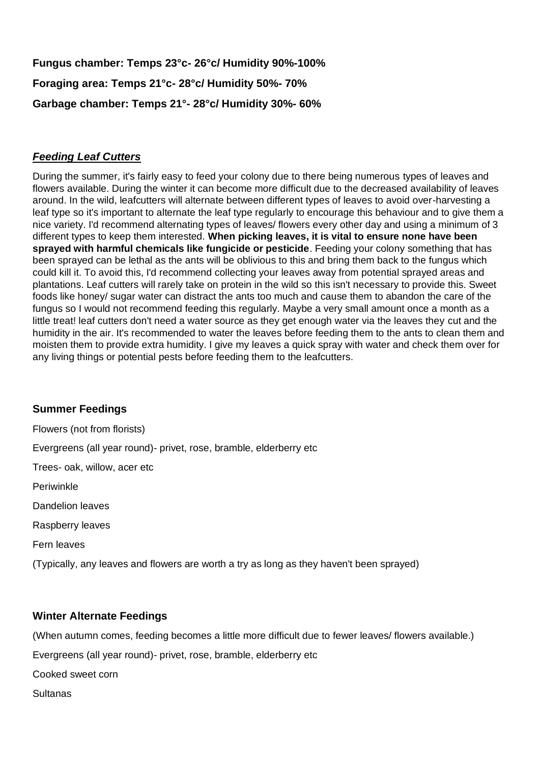**Fungus chamber: Temps 23°c- 26°c/ Humidity 90%-100% Foraging area: Temps 21°c- 28°c/ Humidity 50%- 70% Garbage chamber: Temps 21°- 28°c/ Humidity 30%- 60%**

## *Feeding Leaf Cutters*

During the summer, it's fairly easy to feed your colony due to there being numerous types of leaves and flowers available. During the winter it can become more difficult due to the decreased availability of leaves around. In the wild, leafcutters will alternate between different types of leaves to avoid over-harvesting a leaf type so it's important to alternate the leaf type regularly to encourage this behaviour and to give them a nice variety. I'd recommend alternating types of leaves/ flowers every other day and using a minimum of 3 different types to keep them interested. **When picking leaves, it is vital to ensure none have been sprayed with harmful chemicals like fungicide or pesticide**. Feeding your colony something that has been sprayed can be lethal as the ants will be oblivious to this and bring them back to the fungus which could kill it. To avoid this, I'd recommend collecting your leaves away from potential sprayed areas and plantations. Leaf cutters will rarely take on protein in the wild so this isn't necessary to provide this. Sweet foods like honey/ sugar water can distract the ants too much and cause them to abandon the care of the fungus so I would not recommend feeding this regularly. Maybe a very small amount once a month as a little treat! leaf cutters don't need a water source as they get enough water via the leaves they cut and the humidity in the air. It's recommended to water the leaves before feeding them to the ants to clean them and moisten them to provide extra humidity. I give my leaves a quick spray with water and check them over for any living things or potential pests before feeding them to the leafcutters.

## **Summer Feedings**

Flowers (not from florists) Evergreens (all year round)- privet, rose, bramble, elderberry etc Trees- oak, willow, acer etc Periwinkle Dandelion leaves Raspberry leaves Fern leaves (Typically, any leaves and flowers are worth a try as long as they haven't been sprayed)

## **Winter Alternate Feedings**

(When autumn comes, feeding becomes a little more difficult due to fewer leaves/ flowers available.)

Evergreens (all year round)- privet, rose, bramble, elderberry etc

Cooked sweet corn

Sultanas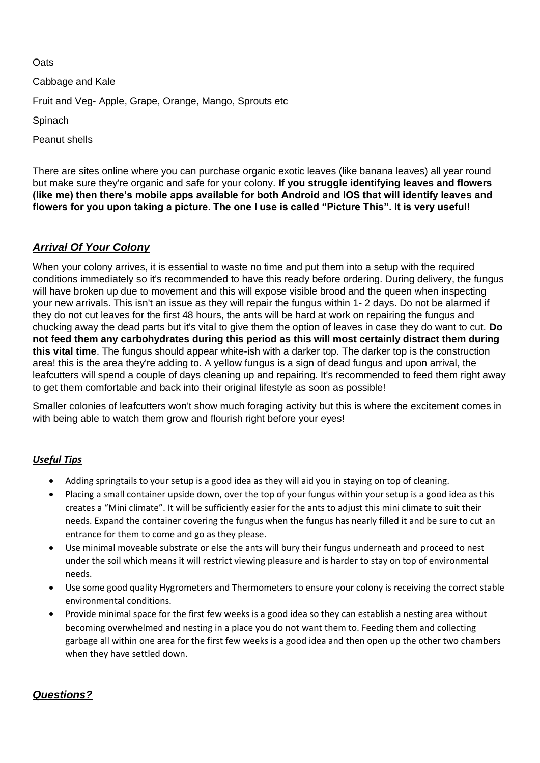**Oats** 

Cabbage and Kale

Fruit and Veg- Apple, Grape, Orange, Mango, Sprouts etc

**Spinach** 

Peanut shells

There are sites online where you can purchase organic exotic leaves (like banana leaves) all year round but make sure they're organic and safe for your colony. **If you struggle identifying leaves and flowers (like me) then there's mobile apps available for both Android and IOS that will identify leaves and flowers for you upon taking a picture. The one I use is called "Picture This". It is very useful!**

## *Arrival Of Your Colony*

When your colony arrives, it is essential to waste no time and put them into a setup with the required conditions immediately so it's recommended to have this ready before ordering. During delivery, the fungus will have broken up due to movement and this will expose visible brood and the queen when inspecting your new arrivals. This isn't an issue as they will repair the fungus within 1- 2 days. Do not be alarmed if they do not cut leaves for the first 48 hours, the ants will be hard at work on repairing the fungus and chucking away the dead parts but it's vital to give them the option of leaves in case they do want to cut. **Do not feed them any carbohydrates during this period as this will most certainly distract them during this vital time**. The fungus should appear white-ish with a darker top. The darker top is the construction area! this is the area they're adding to. A yellow fungus is a sign of dead fungus and upon arrival, the leafcutters will spend a couple of days cleaning up and repairing. It's recommended to feed them right away to get them comfortable and back into their original lifestyle as soon as possible!

Smaller colonies of leafcutters won't show much foraging activity but this is where the excitement comes in with being able to watch them grow and flourish right before your eyes!

#### *Useful Tips*

- Adding springtails to your setup is a good idea as they will aid you in staying on top of cleaning.
- Placing a small container upside down, over the top of your fungus within your setup is a good idea as this creates a "Mini climate". It will be sufficiently easier for the ants to adjust this mini climate to suit their needs. Expand the container covering the fungus when the fungus has nearly filled it and be sure to cut an entrance for them to come and go as they please.
- Use minimal moveable substrate or else the ants will bury their fungus underneath and proceed to nest under the soil which means it will restrict viewing pleasure and is harder to stay on top of environmental needs.
- Use some good quality Hygrometers and Thermometers to ensure your colony is receiving the correct stable environmental conditions.
- Provide minimal space for the first few weeks is a good idea so they can establish a nesting area without becoming overwhelmed and nesting in a place you do not want them to. Feeding them and collecting garbage all within one area for the first few weeks is a good idea and then open up the other two chambers when they have settled down.

#### *Questions?*